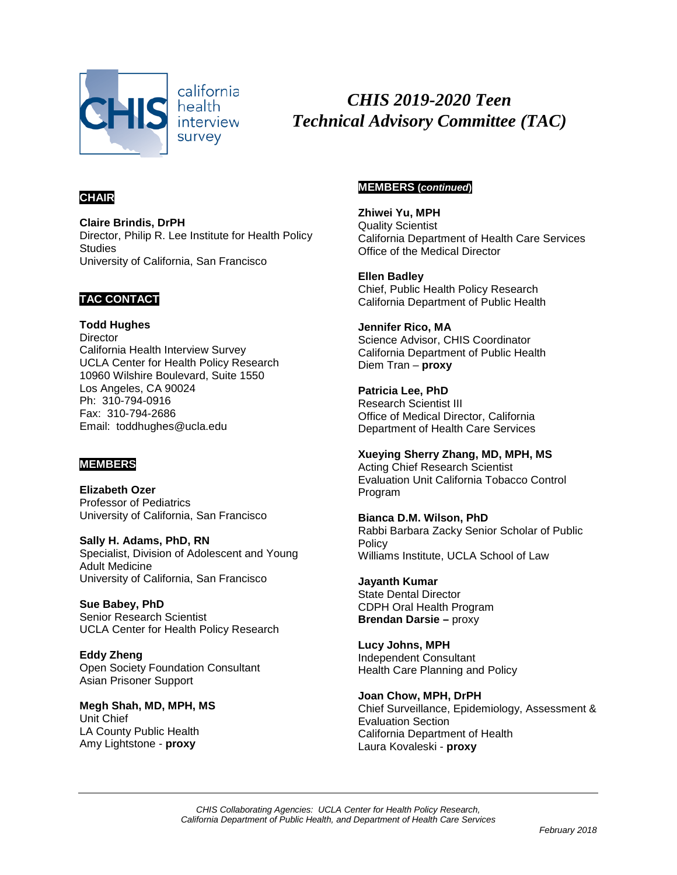

*CHIS 2019-2020 Teen Technical Advisory Committee (TAC)*

# **CHAIR**

**Claire Brindis, DrPH** Director, Philip R. Lee Institute for Health Policy **Studies** University of California, San Francisco

#### **TAC CONTACT**

**Todd Hughes Director** California Health Interview Survey UCLA Center for Health Policy Research 10960 Wilshire Boulevard, Suite 1550 Los Angeles, CA 90024 Ph: 310-794-0916 Fax: 310-794-2686 Email: toddhughes@ucla.edu

### **MEMBERS**

**Elizabeth Ozer** Professor of Pediatrics University of California, San Francisco

**Sally H. Adams, PhD, RN** Specialist, Division of Adolescent and Young Adult Medicine University of California, San Francisco

**Sue Babey, PhD** Senior Research Scientist UCLA Center for Health Policy Research

**Eddy Zheng** Open Society Foundation Consultant Asian Prisoner Support

**Megh Shah, MD, MPH, MS** Unit Chief LA County Public Health Amy Lightstone - **proxy**

#### **MEMBERS (***continued***)**

**Zhiwei Yu, MPH** Quality Scientist California Department of Health Care Services Office of the Medical Director

**Ellen Badley** Chief, Public Health Policy Research California Department of Public Health

**Jennifer Rico, MA** Science Advisor, CHIS Coordinator California Department of Public Health Diem Tran – **proxy**

**Patricia Lee, PhD** Research Scientist III Office of Medical Director, California Department of Health Care Services

**Xueying Sherry Zhang, MD, MPH, MS** Acting Chief Research Scientist Evaluation Unit California Tobacco Control Program

**Bianca D.M. Wilson, PhD** Rabbi Barbara Zacky Senior Scholar of Public **Policy** Williams Institute, UCLA School of Law

**Jayanth Kumar** State Dental Director CDPH Oral Health Program **Brendan Darsie –** proxy

**Lucy Johns, MPH** Independent Consultant Health Care Planning and Policy

**Joan Chow, MPH, DrPH** Chief Surveillance, Epidemiology, Assessment & Evaluation Section California Department of Health Laura Kovaleski - **proxy**